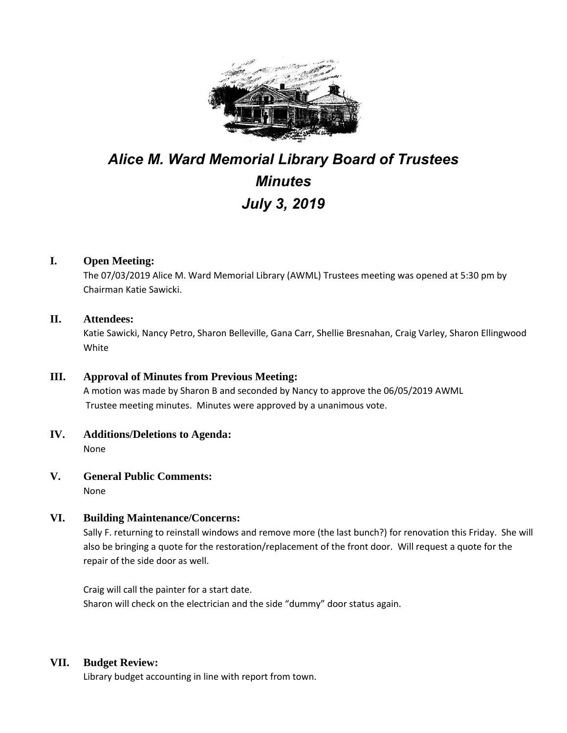

# *Alice M. Ward Memorial Library Board of Trustees Minutes July 3, 2019*

#### **I. Open Meeting:**

The 07/03/2019 Alice M. Ward Memorial Library (AWML) Trustees meeting was opened at 5:30 pm by Chairman Katie Sawicki.

#### **II. Attendees:**

Katie Sawicki, Nancy Petro, Sharon Belleville, Gana Carr, Shellie Bresnahan, Craig Varley, Sharon Ellingwood White

#### **III. Approval of Minutes from Previous Meeting:**

A motion was made by Sharon B and seconded by Nancy to approve the 06/05/2019 AWML Trustee meeting minutes. Minutes were approved by a unanimous vote.

**IV. Additions/Deletions to Agenda:** None

**V. General Public Comments:**

None

#### **VI. Building Maintenance/Concerns:**

Sally F. returning to reinstall windows and remove more (the last bunch?) for renovation this Friday. She will also be bringing a quote for the restoration/replacement of the front door. Will request a quote for the repair of the side door as well.

Craig will call the painter for a start date. Sharon will check on the electrician and the side "dummy" door status again.

#### **VII. Budget Review:**

Library budget accounting in line with report from town.